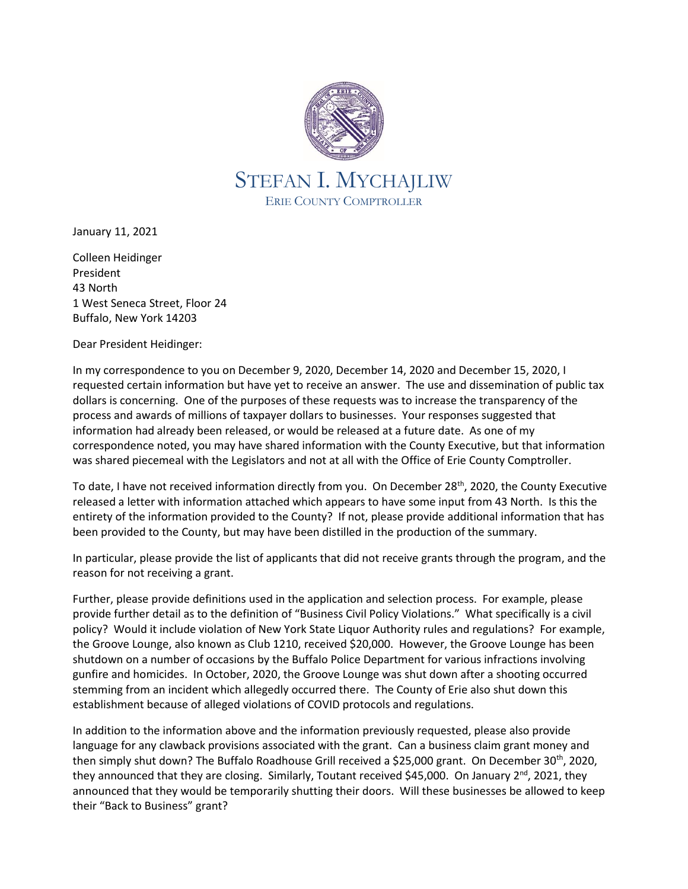

January 11, 2021

Colleen Heidinger President 43 North 1 West Seneca Street, Floor 24 Buffalo, New York 14203

Dear President Heidinger:

In my correspondence to you on December 9, 2020, December 14, 2020 and December 15, 2020, I requested certain information but have yet to receive an answer. The use and dissemination of public tax dollars is concerning. One of the purposes of these requests was to increase the transparency of the process and awards of millions of taxpayer dollars to businesses. Your responses suggested that information had already been released, or would be released at a future date. As one of my correspondence noted, you may have shared information with the County Executive, but that information was shared piecemeal with the Legislators and not at all with the Office of Erie County Comptroller.

To date, I have not received information directly from you. On December 28<sup>th</sup>, 2020, the County Executive released a letter with information attached which appears to have some input from 43 North. Is this the entirety of the information provided to the County? If not, please provide additional information that has been provided to the County, but may have been distilled in the production of the summary.

In particular, please provide the list of applicants that did not receive grants through the program, and the reason for not receiving a grant.

Further, please provide definitions used in the application and selection process. For example, please provide further detail as to the definition of "Business Civil Policy Violations." What specifically is a civil policy? Would it include violation of New York State Liquor Authority rules and regulations? For example, the Groove Lounge, also known as Club 1210, received \$20,000. However, the Groove Lounge has been shutdown on a number of occasions by the Buffalo Police Department for various infractions involving gunfire and homicides. In October, 2020, the Groove Lounge was shut down after a shooting occurred stemming from an incident which allegedly occurred there. The County of Erie also shut down this establishment because of alleged violations of COVID protocols and regulations.

In addition to the information above and the information previously requested, please also provide language for any clawback provisions associated with the grant. Can a business claim grant money and then simply shut down? The Buffalo Roadhouse Grill received a \$25,000 grant. On December 30<sup>th</sup>, 2020, they announced that they are closing. Similarly, Toutant received \$45,000. On January  $2^{nd}$ , 2021, they announced that they would be temporarily shutting their doors. Will these businesses be allowed to keep their "Back to Business" grant?